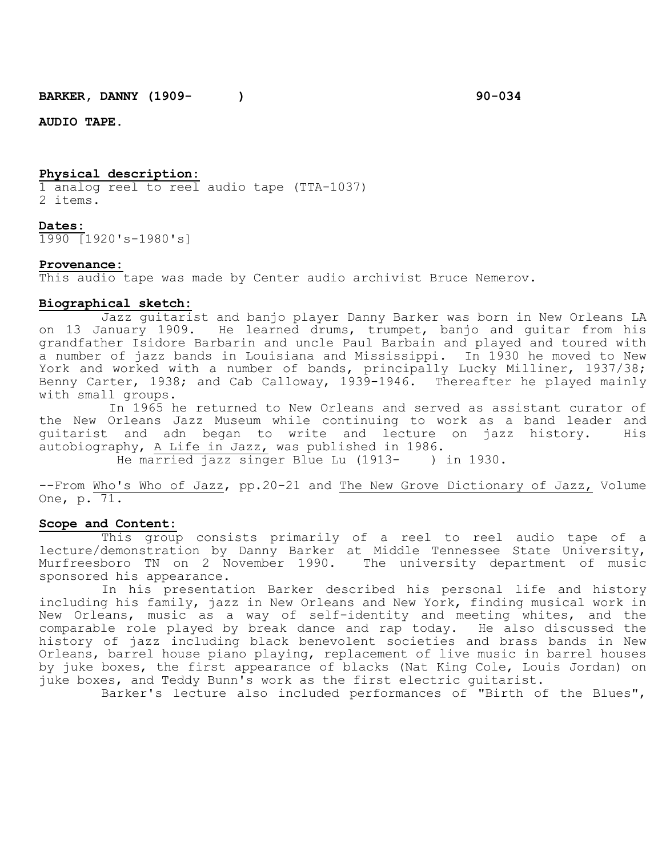**BARKER, DANNY (1909-** ) 90-034

**AUDIO TAPE.**

#### **Physical description:**

1 analog reel to reel audio tape (TTA-1037) 2 items.

### **Dates:**

1990 [1920's-1980's]

#### **Provenance:**

This audio tape was made by Center audio archivist Bruce Nemerov.

# **Biographical sketch:**

Jazz guitarist and banjo player Danny Barker was born in New Orleans LA on 13 January 1909. He learned drums, trumpet, banjo and guitar from his grandfather Isidore Barbarin and uncle Paul Barbain and played and toured with a number of jazz bands in Louisiana and Mississippi. In 1930 he moved to New York and worked with a number of bands, principally Lucky Milliner, 1937/38; Benny Carter, 1938; and Cab Calloway, 1939-1946. Thereafter he played mainly with small groups.

In 1965 he returned to New Orleans and served as assistant curator of the New Orleans Jazz Museum while continuing to work as a band leader and guitarist and adn began to write and lecture on jazz history. autobiography, <u>A Life in Jazz,</u> was published in 1986.<br>He married jazz singer Blue Lu (1913- ) in 1930.

He married jazz singer Blue Lu (1913-

--From Who's Who of Jazz, pp.20-21 and The New Grove Dictionary of Jazz, Volume One, p. 71.

#### **Scope and Content:**

This group consists primarily of a reel to reel audio tape of a lecture/demonstration by Danny Barker at Middle Tennessee State University, Murfreesboro TN on 2 November 1990. The university department of music sponsored his appearance.

In his presentation Barker described his personal life and history including his family, jazz in New Orleans and New York, finding musical work in New Orleans, music as a way of self-identity and meeting whites, and the comparable role played by break dance and rap today. He also discussed the history of jazz including black benevolent societies and brass bands in New Orleans, barrel house piano playing, replacement of live music in barrel houses by juke boxes, the first appearance of blacks (Nat King Cole, Louis Jordan) on juke boxes, and Teddy Bunn's work as the first electric guitarist.

Barker's lecture also included performances of "Birth of the Blues",